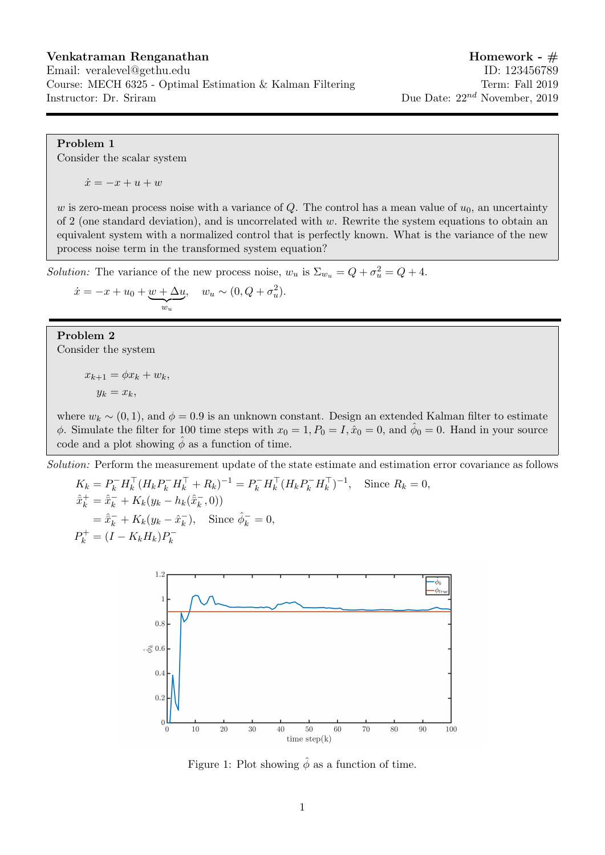## Venkatraman Renganathan Homework - #

## Email: veralevel@gethu.edu ID: 123456789 Course: MECH 6325 - Optimal Estimation & Kalman Filtering Term: Fall 2019 Instructor: Dr. Sriram Due Date:  $22^{nd}$  November, 2019

## Problem 1

Consider the scalar system

 $\dot{x} = -x + u + w$ 

w is zero-mean process noise with a variance of Q. The control has a mean value of  $u_0$ , an uncertainty of 2 (one standard deviation), and is uncorrelated with  $w$ . Rewrite the system equations to obtain an equivalent system with a normalized control that is perfectly known. What is the variance of the new process noise term in the transformed system equation?

Solution: The variance of the new process noise,  $w_u$  is  $\Sigma_{w_u} = Q + \sigma_u^2 = Q + 4$ .

 $\dot{x} = -x + u_0 + w + \Delta u$  $\overline{w_u}$  $, \quad w_u \sim (0, Q + \sigma_u^2).$ 

Problem 2 Consider the system

> $x_{k+1} = \phi x_k + w_k,$  $y_k = x_k$

where  $w_k \sim (0, 1)$ , and  $\phi = 0.9$  is an unknown constant. Design an extended Kalman filter to estimate  $\phi$ . Simulate the filter for 100 time steps with  $x_0 = 1, P_0 = I, \hat{x}_0 = 0$ , and  $\hat{\phi}_0 = 0$ . Hand in your source code and a plot showing  $\phi$  as a function of time.

Solution: Perform the measurement update of the state estimate and estimation error covariance as follows

 $K_k = P_k^- H_k^{\top} (H_k P_k^- H_k^{\top} + R_k)^{-1} = P_k^- H_k^{\top} (H_k P_k^- H_k^{\top})^{-1},$  Since  $R_k = 0$ ,  $\hat{\bar{x}}_k^+ = \hat{\bar{x}}_k^- + K_k(y_k - h_k(\hat{\bar{x}}_k^-))$  $(\frac{-}{k}, 0))$  $=\hat{\bar{x}}_k^- + K_k(y_k - \hat{x}_k^-)$  $\bar{k}$ ), Since  $\hat{\phi}_k^- = 0$ ,  $P_k^+ = (I - K_k H_k) P_k^$ k



Figure 1: Plot showing  $\hat{\phi}$  as a function of time.